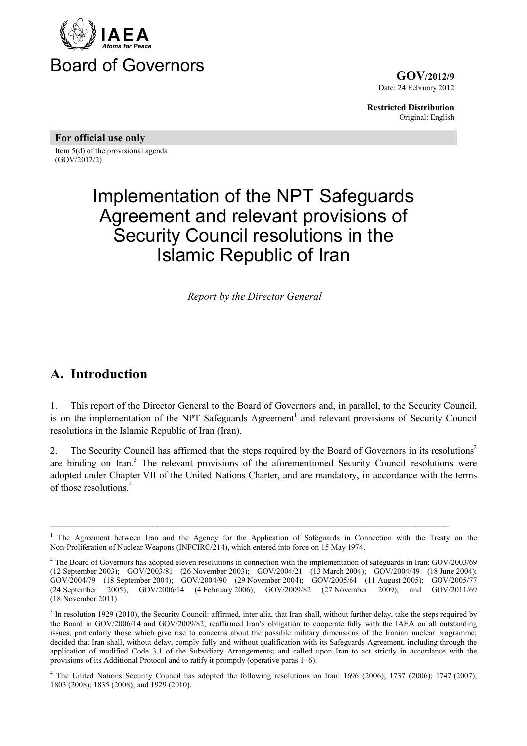

**GOV/2012/9** Date: 24 February 2012

**Restricted Distribution** Original: English

**For official use only**  Item 5(d) of the provisional agenda (GOV/2012/2)

# Implementation of the NPT Safeguards Agreement and relevant provisions of Security Council resolutions in the Islamic Republic of Iran

*Report by the Director General*

#### **A. Introduction**

1. This report of the Director General to the Board of Governors and, in parallel, to the Security Council, is on the implementation of the NPT Safeguards Agreement<sup>1</sup> and relevant provisions of Security Council resolutions in the Islamic Republic of Iran (Iran).

2. The Security Council has affirmed that the steps required by the Board of Governors in its resolutions<sup>2</sup> are binding on Iran.<sup>3</sup> The relevant provisions of the aforementioned Security Council resolutions were adopted under Chapter VII of the United Nations Charter, and are mandatory, in accordance with the terms of those resolutions.<sup>4</sup>

<sup>1</sup> The Agreement between Iran and the Agency for the Application of Safeguards in Connection with the Treaty on the Non-Proliferation of Nuclear Weapons (INFCIRC/214), which entered into force on 15 May 1974.

<sup>&</sup>lt;sup>2</sup> The Board of Governors has adopted eleven resolutions in connection with the implementation of safeguards in Iran:  $GOV/2003/69$ (12 September 2003); GOV/2003/81 (26 November 2003); GOV/2004/21 (13 March 2004); GOV/2004/49 (18 June 2004); GOV/2004/79 (18 September 2004); GOV/2004/90 (29 November 2004); GOV/2005/64 (11 August 2005); GOV/2005/77 (24 September 2005); GOV/2006/14 (4 February 2006); GOV/2009/82 (27 November 2009); and GOV/2011/69 (18 November 2011).

 $3$  In resolution 1929 (2010), the Security Council: affirmed, inter alia, that Iran shall, without further delay, take the steps required by the Board in GOV/2006/14 and GOV/2009/82; reaffirmed Iran's obligation to cooperate fully with the IAEA on all outstanding issues, particularly those which give rise to concerns about the possible military dimensions of the Iranian nuclear programme; decided that Iran shall, without delay, comply fully and without qualification with its Safeguards Agreement, including through the application of modified Code 3.1 of the Subsidiary Arrangements; and called upon Iran to act strictly in accordance with the provisions of its Additional Protocol and to ratify it promptly (operative paras 1–6).

<sup>&</sup>lt;sup>4</sup> The United Nations Security Council has adopted the following resolutions on Iran: 1696 (2006); 1737 (2006); 1747 (2007); 1803 (2008); 1835 (2008); and 1929 (2010).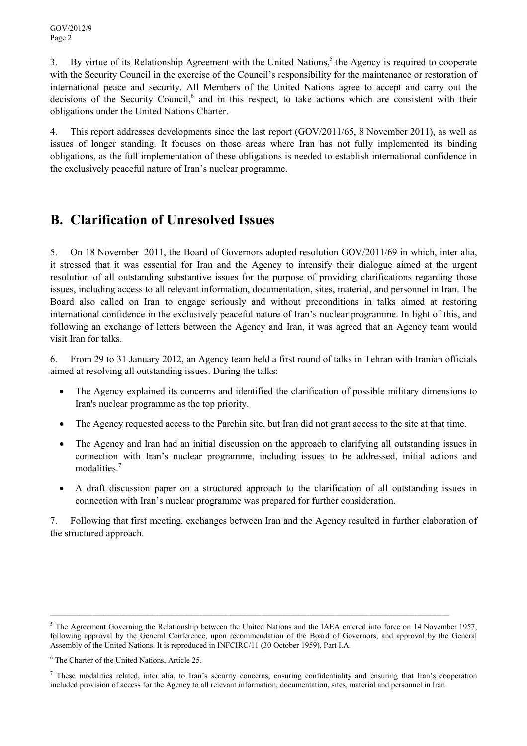3. By virtue of its Relationship Agreement with the United Nations,<sup>5</sup> the Agency is required to cooperate with the Security Council in the exercise of the Council's responsibility for the maintenance or restoration of international peace and security. All Members of the United Nations agree to accept and carry out the decisions of the Security Council,<sup>6</sup> and in this respect, to take actions which are consistent with their obligations under the United Nations Charter.

4. This report addresses developments since the last report (GOV/2011/65, 8 November 2011), as well as issues of longer standing. It focuses on those areas where Iran has not fully implemented its binding obligations, as the full implementation of these obligations is needed to establish international confidence in the exclusively peaceful nature of Iran's nuclear programme.

## **B. Clarification of Unresolved Issues**

5. On 18 November 2011, the Board of Governors adopted resolution GOV/2011/69 in which, inter alia, it stressed that it was essential for Iran and the Agency to intensify their dialogue aimed at the urgent resolution of all outstanding substantive issues for the purpose of providing clarifications regarding those issues, including access to all relevant information, documentation, sites, material, and personnel in Iran. The Board also called on Iran to engage seriously and without preconditions in talks aimed at restoring international confidence in the exclusively peaceful nature of Iran's nuclear programme. In light of this, and following an exchange of letters between the Agency and Iran, it was agreed that an Agency team would visit Iran for talks.

6. From 29 to 31 January 2012, an Agency team held a first round of talks in Tehran with Iranian officials aimed at resolving all outstanding issues. During the talks:

- The Agency explained its concerns and identified the clarification of possible military dimensions to Iran's nuclear programme as the top priority.
- The Agency requested access to the Parchin site, but Iran did not grant access to the site at that time.
- The Agency and Iran had an initial discussion on the approach to clarifying all outstanding issues in connection with Iran's nuclear programme, including issues to be addressed, initial actions and modalities<sup>7</sup>
- A draft discussion paper on a structured approach to the clarification of all outstanding issues in connection with Iran's nuclear programme was prepared for further consideration.

7. Following that first meeting, exchanges between Iran and the Agency resulted in further elaboration of the structured approach.

\_\_\_\_\_\_\_\_\_\_\_\_\_\_\_\_\_\_\_\_\_\_\_\_\_\_\_\_\_\_\_\_\_\_\_\_\_\_\_\_\_\_\_\_\_\_\_\_\_\_\_\_\_\_\_\_\_\_\_\_\_\_\_\_\_\_\_\_\_\_\_\_\_\_\_\_\_\_\_\_\_\_

 $5$  The Agreement Governing the Relationship between the United Nations and the IAEA entered into force on 14 November 1957, following approval by the General Conference, upon recommendation of the Board of Governors, and approval by the General Assembly of the United Nations. It is reproduced in INFCIRC/11 (30 October 1959), Part I.A.

<sup>6</sup> The Charter of the United Nations, Article 25.

 $<sup>7</sup>$  These modalities related, inter alia, to Iran's security concerns, ensuring confidentiality and ensuring that Iran's cooperation</sup> included provision of access for the Agency to all relevant information, documentation, sites, material and personnel in Iran.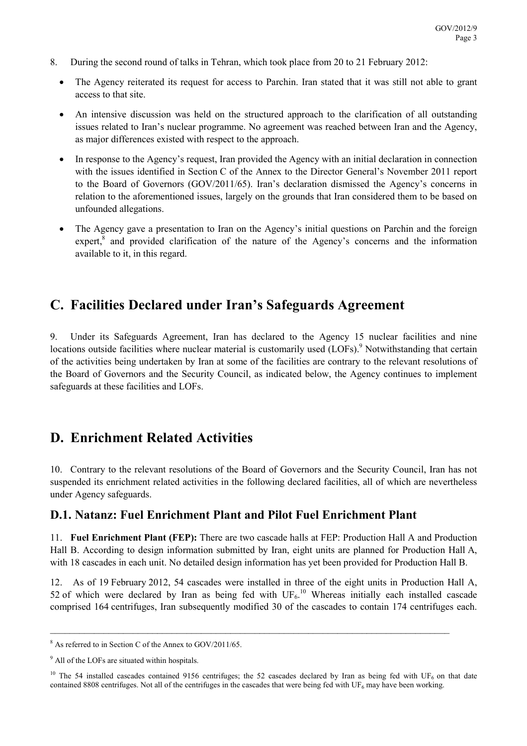- 8. During the second round of talks in Tehran, which took place from 20 to 21 February 2012:
	- The Agency reiterated its request for access to Parchin. Iran stated that it was still not able to grant access to that site.
	- An intensive discussion was held on the structured approach to the clarification of all outstanding issues related to Iran's nuclear programme. No agreement was reached between Iran and the Agency, as major differences existed with respect to the approach.
	- In response to the Agency's request, Iran provided the Agency with an initial declaration in connection with the issues identified in Section C of the Annex to the Director General's November 2011 report to the Board of Governors (GOV/2011/65). Iran's declaration dismissed the Agency's concerns in relation to the aforementioned issues, largely on the grounds that Iran considered them to be based on unfounded allegations.
	- The Agency gave a presentation to Iran on the Agency's initial questions on Parchin and the foreign expert,<sup>8</sup> and provided clarification of the nature of the Agency's concerns and the information available to it, in this regard.

## **C. Facilities Declared under Iran's Safeguards Agreement**

9. Under its Safeguards Agreement, Iran has declared to the Agency 15 nuclear facilities and nine locations outside facilities where nuclear material is customarily used (LOFs).<sup>9</sup> Notwithstanding that certain of the activities being undertaken by Iran at some of the facilities are contrary to the relevant resolutions of the Board of Governors and the Security Council, as indicated below, the Agency continues to implement safeguards at these facilities and LOFs.

#### **D. Enrichment Related Activities**

10. Contrary to the relevant resolutions of the Board of Governors and the Security Council, Iran has not suspended its enrichment related activities in the following declared facilities, all of which are nevertheless under Agency safeguards.

#### **D.1. Natanz: Fuel Enrichment Plant and Pilot Fuel Enrichment Plant**

11. **Fuel Enrichment Plant (FEP):** There are two cascade halls at FEP: Production Hall A and Production Hall B. According to design information submitted by Iran, eight units are planned for Production Hall A, with 18 cascades in each unit. No detailed design information has yet been provided for Production Hall B.

12. As of 19 February 2012, 54 cascades were installed in three of the eight units in Production Hall A, 52 of which were declared by Iran as being fed with  $UF<sub>6</sub>$ .<sup>10</sup> Whereas initially each installed cascade comprised 164 centrifuges, Iran subsequently modified 30 of the cascades to contain 174 centrifuges each.

<sup>&</sup>lt;sup>8</sup> As referred to in Section C of the Annex to GOV/2011/65.

<sup>&</sup>lt;sup>9</sup> All of the LOFs are situated within hospitals.

<sup>&</sup>lt;sup>10</sup> The 54 installed cascades contained 9156 centrifuges; the 52 cascades declared by Iran as being fed with UF<sub>6</sub> on that date contained 8808 centrifuges. Not all of the centrifuges in the cascades that were being fed with  $UF_6$  may have been working.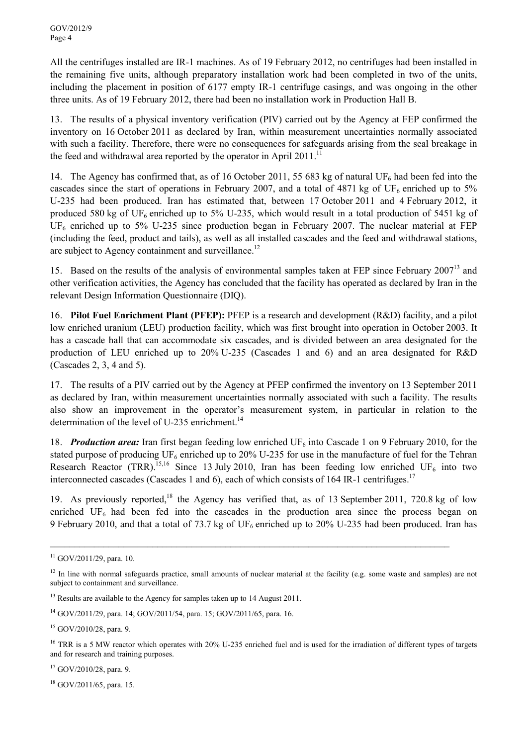All the centrifuges installed are IR-1 machines. As of 19 February 2012, no centrifuges had been installed in the remaining five units, although preparatory installation work had been completed in two of the units, including the placement in position of 6177 empty IR-1 centrifuge casings, and was ongoing in the other three units. As of 19 February 2012, there had been no installation work in Production Hall B.

13. The results of a physical inventory verification (PIV) carried out by the Agency at FEP confirmed the inventory on 16 October 2011 as declared by Iran, within measurement uncertainties normally associated with such a facility. Therefore, there were no consequences for safeguards arising from the seal breakage in the feed and withdrawal area reported by the operator in April 2011.<sup>11</sup>

14. The Agency has confirmed that, as of 16 October 2011, 55 683 kg of natural UF<sub>6</sub> had been fed into the cascades since the start of operations in February 2007, and a total of 4871 kg of UF<sub>6</sub> enriched up to 5% U-235 had been produced. Iran has estimated that, between 17 October 2011 and 4 February 2012, it produced 580 kg of UF<sub>6</sub> enriched up to 5% U-235, which would result in a total production of 5451 kg of  $UF<sub>6</sub>$  enriched up to 5% U-235 since production began in February 2007. The nuclear material at FEP (including the feed, product and tails), as well as all installed cascades and the feed and withdrawal stations, are subject to Agency containment and surveillance.<sup>12</sup>

15. Based on the results of the analysis of environmental samples taken at FEP since February 2007<sup>13</sup> and other verification activities, the Agency has concluded that the facility has operated as declared by Iran in the relevant Design Information Questionnaire (DIQ).

16. **Pilot Fuel Enrichment Plant (PFEP):** PFEP is a research and development (R&D) facility, and a pilot low enriched uranium (LEU) production facility, which was first brought into operation in October 2003. It has a cascade hall that can accommodate six cascades, and is divided between an area designated for the production of LEU enriched up to 20% U-235 (Cascades 1 and 6) and an area designated for R&D (Cascades 2, 3, 4 and 5).

17. The results of a PIV carried out by the Agency at PFEP confirmed the inventory on 13 September 2011 as declared by Iran, within measurement uncertainties normally associated with such a facility. The results also show an improvement in the operator's measurement system, in particular in relation to the determination of the level of U-235 enrichment.<sup>14</sup>

18. **Production area:** Iran first began feeding low enriched  $UF_6$  into Cascade 1 on 9 February 2010, for the stated purpose of producing  $UF_6$  enriched up to 20% U-235 for use in the manufacture of fuel for the Tehran Research Reactor (TRR).<sup>15,16</sup> Since 13 July 2010, Iran has been feeding low enriched UF<sub>6</sub> into two interconnected cascades (Cascades 1 and 6), each of which consists of 164 IR-1 centrifuges.<sup>17</sup>

19. As previously reported,<sup>18</sup> the Agency has verified that, as of 13 September 2011, 720.8 kg of low enriched  $UF<sub>6</sub>$  had been fed into the cascades in the production area since the process began on 9 February 2010, and that a total of 73.7 kg of  $UF_6$  enriched up to 20% U-235 had been produced. Iran has

\_\_\_\_\_\_\_\_\_\_\_\_\_\_\_\_\_\_\_\_\_\_\_\_\_\_\_\_\_\_\_\_\_\_\_\_\_\_\_\_\_\_\_\_\_\_\_\_\_\_\_\_\_\_\_\_\_\_\_\_\_\_\_\_\_\_\_\_\_\_\_\_\_\_\_\_\_\_\_\_\_\_

 $15$  GOV/2010/28, para. 9.

 $17$  GOV/2010/28, para. 9.

<sup>18</sup> GOV/2011/65, para. 15.

 $11$  GOV/2011/29, para. 10.

<sup>&</sup>lt;sup>12</sup> In line with normal safeguards practice, small amounts of nuclear material at the facility (e.g. some waste and samples) are not subject to containment and surveillance.

<sup>&</sup>lt;sup>13</sup> Results are available to the Agency for samples taken up to 14 August 2011.

<sup>14</sup> GOV/2011/29, para. 14; GOV/2011/54, para. 15; GOV/2011/65, para. 16.

<sup>&</sup>lt;sup>16</sup> TRR is a 5 MW reactor which operates with 20% U-235 enriched fuel and is used for the irradiation of different types of targets and for research and training purposes.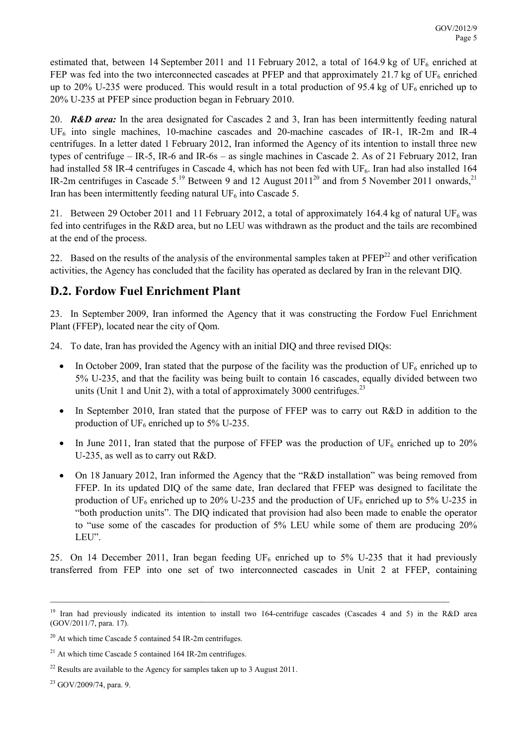estimated that, between 14 September 2011 and 11 February 2012, a total of 164.9 kg of UF<sub>6</sub> enriched at FEP was fed into the two interconnected cascades at PFEP and that approximately 21.7 kg of UF<sub>6</sub> enriched up to 20% U-235 were produced. This would result in a total production of 95.4 kg of UF<sub>6</sub> enriched up to 20% U-235 at PFEP since production began in February 2010.

20. *R&D area:* In the area designated for Cascades 2 and 3, Iran has been intermittently feeding natural UF6 into single machines, 10-machine cascades and 20-machine cascades of IR-1, IR-2m and IR-4 centrifuges. In a letter dated 1 February 2012, Iran informed the Agency of its intention to install three new types of centrifuge – IR-5, IR-6 and IR-6s – as single machines in Cascade 2. As of 21 February 2012, Iran had installed 58 IR-4 centrifuges in Cascade 4, which has not been fed with  $UF_6$ . Iran had also installed 164 IR-2m centrifuges in Cascade  $5^{19}$  Between 9 and 12 August 2011<sup>20</sup> and from 5 November 2011 onwards,<sup>21</sup> Iran has been intermittently feeding natural UF<sub>6</sub> into Cascade 5.

21. Between 29 October 2011 and 11 February 2012, a total of approximately 164.4 kg of natural UF<sub>6</sub> was fed into centrifuges in the R&D area, but no LEU was withdrawn as the product and the tails are recombined at the end of the process.

22. Based on the results of the analysis of the environmental samples taken at PFEP<sup>22</sup> and other verification activities, the Agency has concluded that the facility has operated as declared by Iran in the relevant DIQ.

#### **D.2. Fordow Fuel Enrichment Plant**

23. In September 2009, Iran informed the Agency that it was constructing the Fordow Fuel Enrichment Plant (FFEP), located near the city of Qom.

24. To date, Iran has provided the Agency with an initial DIQ and three revised DIQs:

- In October 2009, Iran stated that the purpose of the facility was the production of  $UF_6$  enriched up to 5% U-235, and that the facility was being built to contain 16 cascades, equally divided between two units (Unit 1 and Unit 2), with a total of approximately 3000 centrifuges. $^{23}$
- In September 2010, Iran stated that the purpose of FFEP was to carry out R&D in addition to the production of  $UF_6$  enriched up to 5% U-235.
- In June 2011, Iran stated that the purpose of FFEP was the production of  $UF_6$  enriched up to 20% U-235, as well as to carry out R&D.
- On 18 January 2012, Iran informed the Agency that the "R&D installation" was being removed from FFEP. In its updated DIQ of the same date, Iran declared that FFEP was designed to facilitate the production of UF<sub>6</sub> enriched up to 20% U-235 and the production of UF<sub>6</sub> enriched up to 5% U-235 in "both production units". The DIQ indicated that provision had also been made to enable the operator to "use some of the cascades for production of 5% LEU while some of them are producing 20% LEU".

25. On 14 December 2011, Iran began feeding  $UF_6$  enriched up to 5% U-235 that it had previously transferred from FEP into one set of two interconnected cascades in Unit 2 at FFEP, containing

<sup>&</sup>lt;sup>19</sup> Iran had previously indicated its intention to install two 164-centrifuge cascades (Cascades 4 and 5) in the R&D area (GOV/2011/7, para. 17).

 $20$  At which time Cascade 5 contained 54 IR-2m centrifuges.

<sup>&</sup>lt;sup>21</sup> At which time Cascade 5 contained 164 IR-2m centrifuges.

 $^{22}$  Results are available to the Agency for samples taken up to 3 August 2011.

 $23$  GOV/2009/74, para. 9.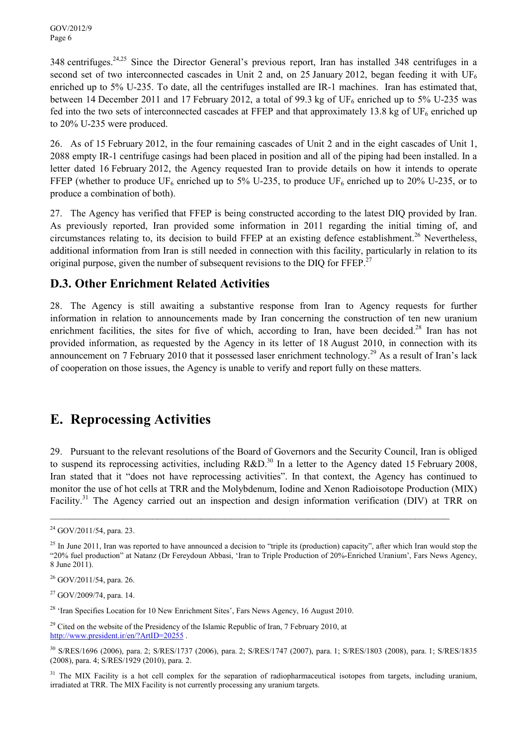348 centrifuges.<sup>24,25</sup> Since the Director General's previous report, Iran has installed 348 centrifuges in a second set of two interconnected cascades in Unit 2 and, on 25 January 2012, began feeding it with UF<sub>6</sub> enriched up to 5% U-235. To date, all the centrifuges installed are IR-1 machines. Iran has estimated that, between 14 December 2011 and 17 February 2012, a total of 99.3 kg of  $UF_6$  enriched up to 5% U-235 was fed into the two sets of interconnected cascades at FFEP and that approximately 13.8 kg of  $UF_6$  enriched up to 20% U-235 were produced.

26. As of 15 February 2012, in the four remaining cascades of Unit 2 and in the eight cascades of Unit 1, 2088 empty IR-1 centrifuge casings had been placed in position and all of the piping had been installed. In a letter dated 16 February 2012, the Agency requested Iran to provide details on how it intends to operate FFEP (whether to produce  $UF_6$  enriched up to 5% U-235, to produce  $UF_6$  enriched up to 20% U-235, or to produce a combination of both).

27. The Agency has verified that FFEP is being constructed according to the latest DIQ provided by Iran. As previously reported, Iran provided some information in 2011 regarding the initial timing of, and circumstances relating to, its decision to build FFEP at an existing defence establishment.<sup>26</sup> Nevertheless, additional information from Iran is still needed in connection with this facility, particularly in relation to its original purpose, given the number of subsequent revisions to the DIQ for FFEP.<sup>27</sup>

#### **D.3. Other Enrichment Related Activities**

28. The Agency is still awaiting a substantive response from Iran to Agency requests for further information in relation to announcements made by Iran concerning the construction of ten new uranium enrichment facilities, the sites for five of which, according to Iran, have been decided.<sup>28</sup> Iran has not provided information, as requested by the Agency in its letter of 18 August 2010, in connection with its announcement on 7 February 2010 that it possessed laser enrichment technology.<sup>29</sup> As a result of Iran's lack of cooperation on those issues, the Agency is unable to verify and report fully on these matters.

#### **E. Reprocessing Activities**

29. Pursuant to the relevant resolutions of the Board of Governors and the Security Council, Iran is obliged to suspend its reprocessing activities, including  $R&D<sup>30</sup>$  In a letter to the Agency dated 15 February 2008, Iran stated that it "does not have reprocessing activities". In that context, the Agency has continued to monitor the use of hot cells at TRR and the Molybdenum, Iodine and Xenon Radioisotope Production (MIX) Facility.<sup>31</sup> The Agency carried out an inspection and design information verification (DIV) at TRR on

 $\_$ 

<sup>27</sup> GOV/2009/74, para. 14.

<sup>28</sup> 'Iran Specifies Location for 10 New Enrichment Sites', Fars News Agency, 16 August 2010.

 $29$  Cited on the website of the Presidency of the Islamic Republic of Iran, 7 February 2010, at http://www.president.ir/en/?ArtID=20255.

 $24$  GOV/2011/54, para. 23.

 $^{25}$  In June 2011, Iran was reported to have announced a decision to "triple its (production) capacity", after which Iran would stop the "20% fuel production" at Natanz (Dr Fereydoun Abbasi, 'Iran to Triple Production of 20%-Enriched Uranium', Fars News Agency, 8 June 2011).

 $26$  GOV/2011/54, para. 26.

<sup>30</sup> S/RES/1696 (2006), para. 2; S/RES/1737 (2006), para. 2; S/RES/1747 (2007), para. 1; S/RES/1803 (2008), para. 1; S/RES/1835 (2008), para. 4; S/RES/1929 (2010), para. 2.

 $31$  The MIX Facility is a hot cell complex for the separation of radiopharmaceutical isotopes from targets, including uranium, irradiated at TRR. The MIX Facility is not currently processing any uranium targets.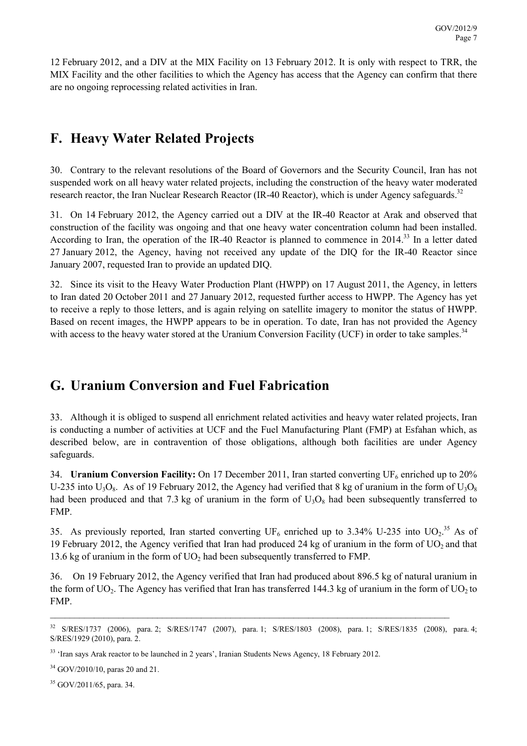12 February 2012, and a DIV at the MIX Facility on 13 February 2012. It is only with respect to TRR, the MIX Facility and the other facilities to which the Agency has access that the Agency can confirm that there are no ongoing reprocessing related activities in Iran.

## **F. Heavy Water Related Projects**

30. Contrary to the relevant resolutions of the Board of Governors and the Security Council, Iran has not suspended work on all heavy water related projects, including the construction of the heavy water moderated research reactor, the Iran Nuclear Research Reactor (IR-40 Reactor), which is under Agency safeguards.<sup>32</sup>

31. On 14 February 2012, the Agency carried out a DIV at the IR-40 Reactor at Arak and observed that construction of the facility was ongoing and that one heavy water concentration column had been installed. According to Iran, the operation of the IR-40 Reactor is planned to commence in 2014.<sup>33</sup> In a letter dated 27 January 2012, the Agency, having not received any update of the DIQ for the IR-40 Reactor since January 2007, requested Iran to provide an updated DIQ.

32. Since its visit to the Heavy Water Production Plant (HWPP) on 17 August 2011, the Agency, in letters to Iran dated 20 October 2011 and 27 January 2012, requested further access to HWPP. The Agency has yet to receive a reply to those letters, and is again relying on satellite imagery to monitor the status of HWPP. Based on recent images, the HWPP appears to be in operation. To date, Iran has not provided the Agency with access to the heavy water stored at the Uranium Conversion Facility (UCF) in order to take samples.<sup>34</sup>

# **G. Uranium Conversion and Fuel Fabrication**

33. Although it is obliged to suspend all enrichment related activities and heavy water related projects, Iran is conducting a number of activities at UCF and the Fuel Manufacturing Plant (FMP) at Esfahan which, as described below, are in contravention of those obligations, although both facilities are under Agency safeguards.

34. **Uranium Conversion Facility:** On 17 December 2011, Iran started converting UF<sub>6</sub> enriched up to 20% U-235 into  $U_3O_8$ . As of 19 February 2012, the Agency had verified that 8 kg of uranium in the form of  $U_3O_8$ had been produced and that 7.3 kg of uranium in the form of  $U_3O_8$  had been subsequently transferred to FMP.

35. As previously reported, Iran started converting  $UF_6$  enriched up to 3.34% U-235 into UO<sub>2</sub>.<sup>35</sup> As of 19 February 2012, the Agency verified that Iran had produced 24 kg of uranium in the form of  $UO<sub>2</sub>$  and that 13.6 kg of uranium in the form of  $UO<sub>2</sub>$  had been subsequently transferred to FMP.

36. On 19 February 2012, the Agency verified that Iran had produced about 896.5 kg of natural uranium in the form of UO<sub>2</sub>. The Agency has verified that Iran has transferred 144.3 kg of uranium in the form of UO<sub>2</sub> to FMP.

\_\_\_\_\_\_\_\_\_\_\_\_\_\_\_\_\_\_\_\_\_\_\_\_\_\_\_\_\_\_\_\_\_\_\_\_\_\_\_\_\_\_\_\_\_\_\_\_\_\_\_\_\_\_\_\_\_\_\_\_\_\_\_\_\_\_\_\_\_\_\_\_\_\_\_\_\_\_\_\_\_\_

<sup>34</sup> GOV/2010/10, paras 20 and 21.

<sup>35</sup> GOV/2011/65, para. 34.

<sup>32</sup> S/RES/1737 (2006), para. 2; S/RES/1747 (2007), para. 1; S/RES/1803 (2008), para. 1; S/RES/1835 (2008), para. 4; S/RES/1929 (2010), para. 2.

<sup>&</sup>lt;sup>33</sup> 'Iran says Arak reactor to be launched in 2 years', Iranian Students News Agency, 18 February 2012.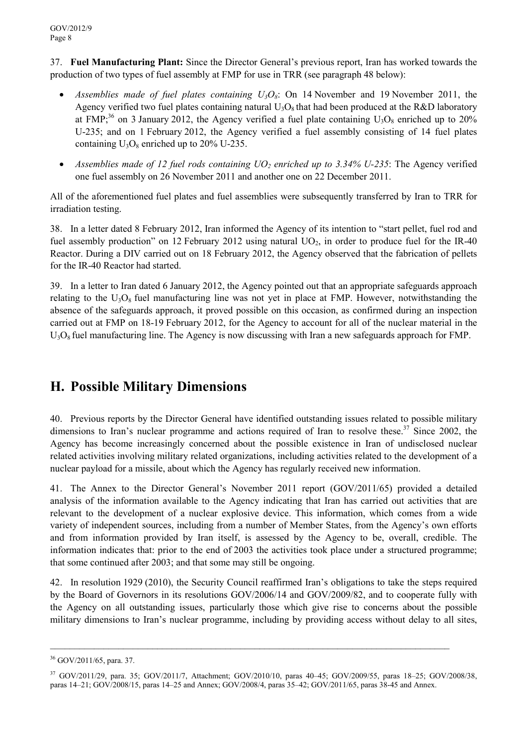37. **Fuel Manufacturing Plant:** Since the Director General's previous report, Iran has worked towards the production of two types of fuel assembly at FMP for use in TRR (see paragraph 48 below):

- *Assemblies made of fuel plates containing*  $U_3O_8$ *:* On 14 November and 19 November 2011, the Agency verified two fuel plates containing natural  $U_3O_8$  that had been produced at the R&D laboratory at FMP;<sup>36</sup> on 3 January 2012, the Agency verified a fuel plate containing  $U_3O_8$  enriched up to 20% U-235; and on 1 February 2012, the Agency verified a fuel assembly consisting of 14 fuel plates containing  $U_3O_8$  enriched up to 20% U-235.
- *Assemblies made of 12 fuel rods containing UO2 enriched up to 3.34% U-235*: The Agency verified one fuel assembly on 26 November 2011 and another one on 22 December 2011.

All of the aforementioned fuel plates and fuel assemblies were subsequently transferred by Iran to TRR for irradiation testing.

38. In a letter dated 8 February 2012, Iran informed the Agency of its intention to "start pellet, fuel rod and fuel assembly production" on 12 February 2012 using natural  $UO<sub>2</sub>$ , in order to produce fuel for the IR-40 Reactor. During a DIV carried out on 18 February 2012, the Agency observed that the fabrication of pellets for the IR-40 Reactor had started.

39. In a letter to Iran dated 6 January 2012, the Agency pointed out that an appropriate safeguards approach relating to the  $U_3O_8$  fuel manufacturing line was not yet in place at FMP. However, notwithstanding the absence of the safeguards approach, it proved possible on this occasion, as confirmed during an inspection carried out at FMP on 18-19 February 2012, for the Agency to account for all of the nuclear material in the  $U_3O_8$  fuel manufacturing line. The Agency is now discussing with Iran a new safeguards approach for FMP.

## **H. Possible Military Dimensions**

40. Previous reports by the Director General have identified outstanding issues related to possible military dimensions to Iran's nuclear programme and actions required of Iran to resolve these.<sup>37</sup> Since 2002, the Agency has become increasingly concerned about the possible existence in Iran of undisclosed nuclear related activities involving military related organizations, including activities related to the development of a nuclear payload for a missile, about which the Agency has regularly received new information.

41. The Annex to the Director General's November 2011 report (GOV/2011/65) provided a detailed analysis of the information available to the Agency indicating that Iran has carried out activities that are relevant to the development of a nuclear explosive device. This information, which comes from a wide variety of independent sources, including from a number of Member States, from the Agency's own efforts and from information provided by Iran itself, is assessed by the Agency to be, overall, credible. The information indicates that: prior to the end of 2003 the activities took place under a structured programme; that some continued after 2003; and that some may still be ongoing.

42. In resolution 1929 (2010), the Security Council reaffirmed Iran's obligations to take the steps required by the Board of Governors in its resolutions GOV/2006/14 and GOV/2009/82, and to cooperate fully with the Agency on all outstanding issues, particularly those which give rise to concerns about the possible military dimensions to Iran's nuclear programme, including by providing access without delay to all sites,

\_\_\_\_\_\_\_\_\_\_\_\_\_\_\_\_\_\_\_\_\_\_\_\_\_\_\_\_\_\_\_\_\_\_\_\_\_\_\_\_\_\_\_\_\_\_\_\_\_\_\_\_\_\_\_\_\_\_\_\_\_\_\_\_\_\_\_\_\_\_\_\_\_\_\_\_\_\_\_\_\_\_

<sup>36</sup> GOV/2011/65, para. 37.

<sup>37</sup> GOV/2011/29, para. 35; GOV/2011/7, Attachment; GOV/2010/10, paras 40–45; GOV/2009/55, paras 18–25; GOV/2008/38, paras 14–21; GOV/2008/15, paras 14–25 and Annex; GOV/2008/4, paras 35–42; GOV/2011/65, paras 38-45 and Annex.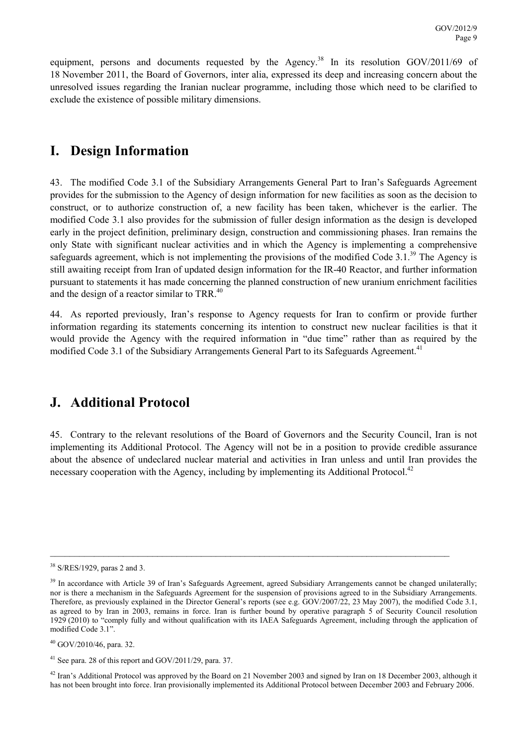equipment, persons and documents requested by the Agency.<sup>38</sup> In its resolution GOV/2011/69 of 18 November 2011, the Board of Governors, inter alia, expressed its deep and increasing concern about the unresolved issues regarding the Iranian nuclear programme, including those which need to be clarified to exclude the existence of possible military dimensions.

## **I. Design Information**

43. The modified Code 3.1 of the Subsidiary Arrangements General Part to Iran's Safeguards Agreement provides for the submission to the Agency of design information for new facilities as soon as the decision to construct, or to authorize construction of, a new facility has been taken, whichever is the earlier. The modified Code 3.1 also provides for the submission of fuller design information as the design is developed early in the project definition, preliminary design, construction and commissioning phases. Iran remains the only State with significant nuclear activities and in which the Agency is implementing a comprehensive safeguards agreement, which is not implementing the provisions of the modified Code 3.1.<sup>39</sup> The Agency is still awaiting receipt from Iran of updated design information for the IR-40 Reactor, and further information pursuant to statements it has made concerning the planned construction of new uranium enrichment facilities and the design of a reactor similar to TRR.<sup>40</sup>

44. As reported previously, Iran's response to Agency requests for Iran to confirm or provide further information regarding its statements concerning its intention to construct new nuclear facilities is that it would provide the Agency with the required information in "due time" rather than as required by the modified Code 3.1 of the Subsidiary Arrangements General Part to its Safeguards Agreement.<sup>41</sup>

## **J. Additional Protocol**

45. Contrary to the relevant resolutions of the Board of Governors and the Security Council, Iran is not implementing its Additional Protocol. The Agency will not be in a position to provide credible assurance about the absence of undeclared nuclear material and activities in Iran unless and until Iran provides the necessary cooperation with the Agency, including by implementing its Additional Protocol.<sup>42</sup>

 $\_$ 

<sup>40</sup> GOV/2010/46, para. 32.

 $42$  Iran's Additional Protocol was approved by the Board on 21 November 2003 and signed by Iran on 18 December 2003, although it has not been brought into force. Iran provisionally implemented its Additional Protocol between December 2003 and February 2006.

<sup>38</sup> S/RES/1929, paras 2 and 3.

<sup>&</sup>lt;sup>39</sup> In accordance with Article 39 of Iran's Safeguards Agreement, agreed Subsidiary Arrangements cannot be changed unilaterally; nor is there a mechanism in the Safeguards Agreement for the suspension of provisions agreed to in the Subsidiary Arrangements. Therefore, as previously explained in the Director General's reports (see e.g. GOV/2007/22, 23 May 2007), the modified Code 3.1, as agreed to by Iran in 2003, remains in force. Iran is further bound by operative paragraph 5 of Security Council resolution 1929 (2010) to "comply fully and without qualification with its IAEA Safeguards Agreement, including through the application of modified Code 3.1".

<sup>41</sup> See para. 28 of this report and GOV/2011/29, para. 37.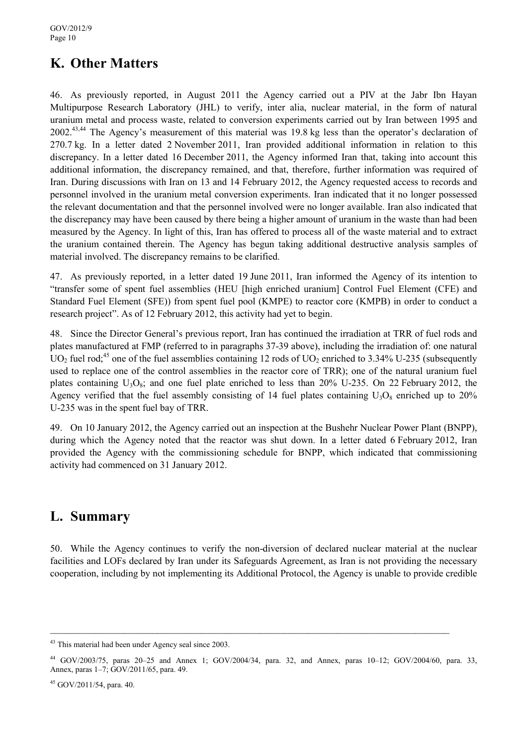# **K. Other Matters**

46. As previously reported, in August 2011 the Agency carried out a PIV at the Jabr Ibn Hayan Multipurpose Research Laboratory (JHL) to verify, inter alia, nuclear material, in the form of natural uranium metal and process waste, related to conversion experiments carried out by Iran between 1995 and 2002.43,44 The Agency's measurement of this material was 19.8 kg less than the operator's declaration of 270.7 kg. In a letter dated 2 November 2011, Iran provided additional information in relation to this discrepancy. In a letter dated 16 December 2011, the Agency informed Iran that, taking into account this additional information, the discrepancy remained, and that, therefore, further information was required of Iran. During discussions with Iran on 13 and 14 February 2012, the Agency requested access to records and personnel involved in the uranium metal conversion experiments. Iran indicated that it no longer possessed the relevant documentation and that the personnel involved were no longer available. Iran also indicated that the discrepancy may have been caused by there being a higher amount of uranium in the waste than had been measured by the Agency. In light of this, Iran has offered to process all of the waste material and to extract the uranium contained therein. The Agency has begun taking additional destructive analysis samples of material involved. The discrepancy remains to be clarified.

47. As previously reported, in a letter dated 19 June 2011, Iran informed the Agency of its intention to "transfer some of spent fuel assemblies (HEU [high enriched uranium] Control Fuel Element (CFE) and Standard Fuel Element (SFE)) from spent fuel pool (KMPE) to reactor core (KMPB) in order to conduct a research project". As of 12 February 2012, this activity had yet to begin.

48. Since the Director General's previous report, Iran has continued the irradiation at TRR of fuel rods and plates manufactured at FMP (referred to in paragraphs 37-39 above), including the irradiation of: one natural UO<sub>2</sub> fuel rod;<sup>45</sup> one of the fuel assemblies containing 12 rods of UO<sub>2</sub> enriched to 3.34% U-235 (subsequently used to replace one of the control assemblies in the reactor core of TRR); one of the natural uranium fuel plates containing  $U_3O_8$ ; and one fuel plate enriched to less than 20% U-235. On 22 February 2012, the Agency verified that the fuel assembly consisting of 14 fuel plates containing  $U_3O_8$  enriched up to 20% U-235 was in the spent fuel bay of TRR.

49. On 10 January 2012, the Agency carried out an inspection at the Bushehr Nuclear Power Plant (BNPP), during which the Agency noted that the reactor was shut down. In a letter dated 6 February 2012, Iran provided the Agency with the commissioning schedule for BNPP, which indicated that commissioning activity had commenced on 31 January 2012.

## **L. Summary**

50. While the Agency continues to verify the non-diversion of declared nuclear material at the nuclear facilities and LOFs declared by Iran under its Safeguards Agreement, as Iran is not providing the necessary cooperation, including by not implementing its Additional Protocol, the Agency is unable to provide credible

<sup>43</sup> This material had been under Agency seal since 2003.

<sup>44</sup> GOV/2003/75, paras 20–25 and Annex 1; GOV/2004/34, para. 32, and Annex, paras 10–12; GOV/2004/60, para. 33, Annex, paras 1–7; GOV/2011/65, para. 49.

 $45$  GOV/2011/54, para. 40.